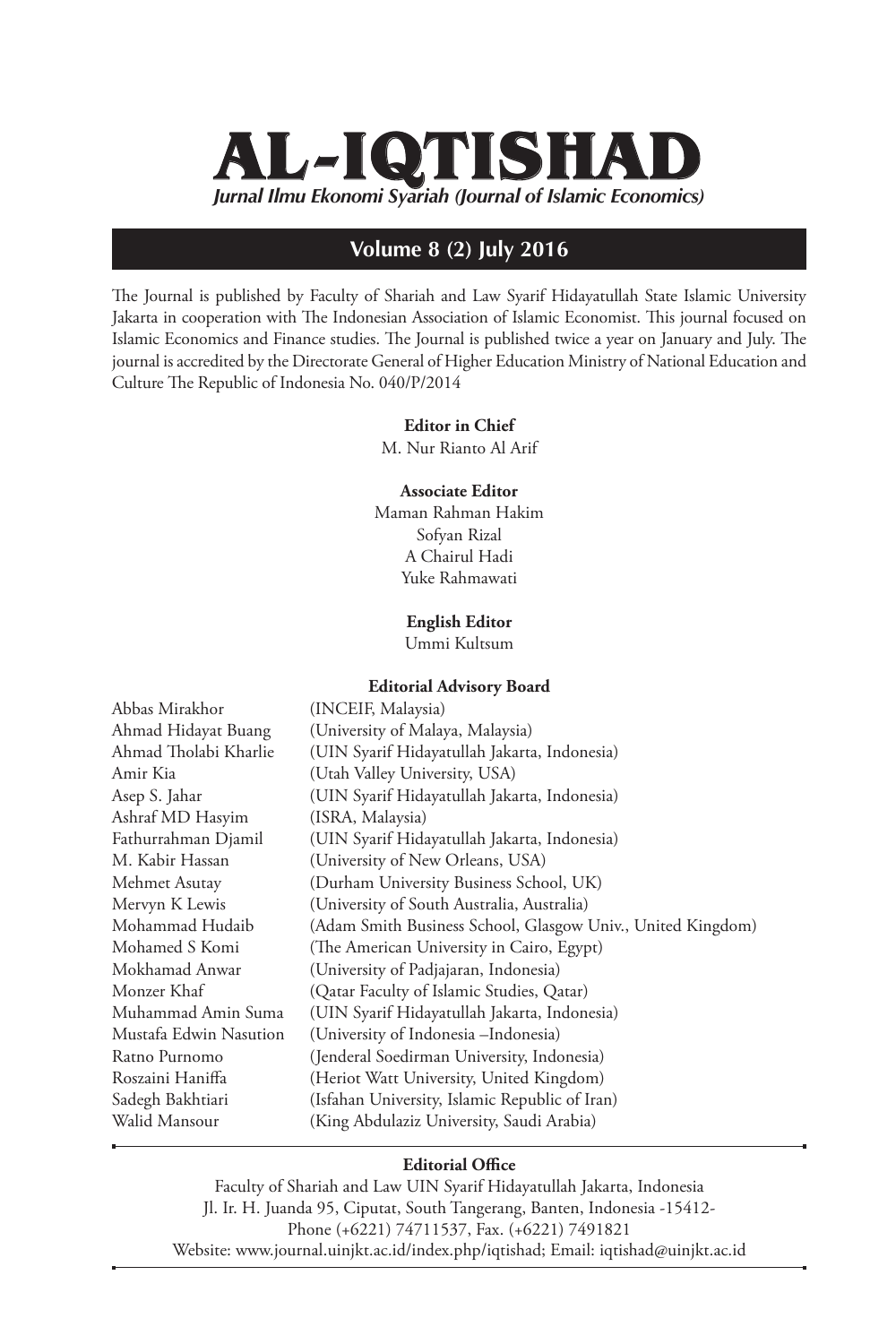# *Jurnal Ilmu Ekonomi Syariah (Journal of Islamic Economics)* **AL-IQTISHAD**

## **Volume 8 (2) July 2016**

The Journal is published by Faculty of Shariah and Law Syarif Hidayatullah State Islamic University Jakarta in cooperation with The Indonesian Association of Islamic Economist. This journal focused on Islamic Economics and Finance studies. The Journal is published twice a year on January and July. The journal is accredited by the Directorate General of Higher Education Ministry of National Education and Culture The Republic of Indonesia No. 040/P/2014

#### **Editor in Chief**

M. Nur Rianto Al Arif

### **Associate Editor**

Maman Rahman Hakim Sofyan Rizal A Chairul Hadi Yuke Rahmawati

**English Editor** 

Ummi Kultsum

#### **Editorial Advisory Board**

| Abbas Mirakhor         | (INCEIF, Malaysia)                                          |
|------------------------|-------------------------------------------------------------|
| Ahmad Hidayat Buang    | (University of Malaya, Malaysia)                            |
| Ahmad Tholabi Kharlie  | (UIN Syarif Hidayatullah Jakarta, Indonesia)                |
| Amir Kia               | (Utah Valley University, USA)                               |
| Asep S. Jahar          | (UIN Syarif Hidayatullah Jakarta, Indonesia)                |
| Ashraf MD Hasyim       | (ISRA, Malaysia)                                            |
| Fathurrahman Djamil    | (UIN Syarif Hidayatullah Jakarta, Indonesia)                |
| M. Kabir Hassan        | (University of New Orleans, USA)                            |
| Mehmet Asutay          | (Durham University Business School, UK)                     |
| Mervyn K Lewis         | (University of South Australia, Australia)                  |
| Mohammad Hudaib        | (Adam Smith Business School, Glasgow Univ., United Kingdom) |
| Mohamed S Komi         | (The American University in Cairo, Egypt)                   |
| Mokhamad Anwar         | (University of Padjajaran, Indonesia)                       |
| Monzer Khaf            | (Qatar Faculty of Islamic Studies, Qatar)                   |
| Muhammad Amin Suma     | (UIN Syarif Hidayatullah Jakarta, Indonesia)                |
| Mustafa Edwin Nasution | (University of Indonesia - Indonesia)                       |
| Ratno Purnomo          | (Jenderal Soedirman University, Indonesia)                  |
| Roszaini Haniffa       | (Heriot Watt University, United Kingdom)                    |
| Sadegh Bakhtiari       | (Isfahan University, Islamic Republic of Iran)              |
| Walid Mansour          | (King Abdulaziz University, Saudi Arabia)                   |
|                        |                                                             |

### **Editorial Office**

Faculty of Shariah and Law UIN Syarif Hidayatullah Jakarta, Indonesia Jl. Ir. H. Juanda 95, Ciputat, South Tangerang, Banten, Indonesia -15412- Phone (+6221) 74711537, Fax. (+6221) 7491821 Website: www.journal.uinjkt.ac.id/index.php/iqtishad; Email: iqtishad@uinjkt.ac.id